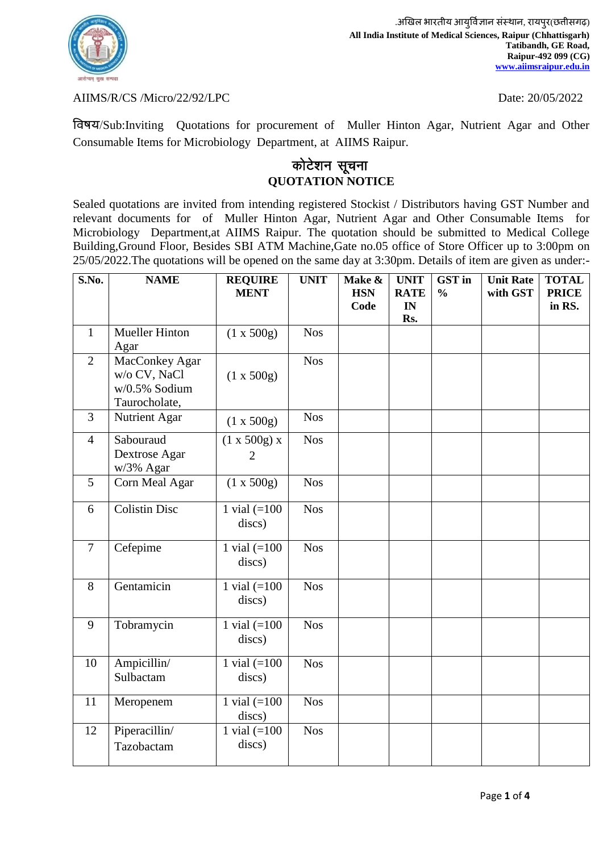

## AIIMS/R/CS /Micro/22/92/LPC Date: 20/05/2022

र्वषय/Sub:Inviting Quotations for procurement of Muller Hinton Agar, Nutrient Agar and Other Consumable Items for Microbiology Department, at AIIMS Raipur.

## कोटेशन सूचना **QUOTATION NOTICE**

Sealed quotations are invited from intending registered Stockist / Distributors having GST Number and relevant documents for of Muller Hinton Agar, Nutrient Agar and Other Consumable Items for Microbiology Department,at AIIMS Raipur. The quotation should be submitted to Medical College Building,Ground Floor, Besides SBI ATM Machine,Gate no.05 office of Store Officer up to 3:00pm on 25/05/2022.The quotations will be opened on the same day at 3:30pm. Details of item are given as under:-

| S.No.          | <b>NAME</b>                                                      | <b>REQUIRE</b><br><b>MENT</b>  | <b>UNIT</b> | Make &<br><b>HSN</b><br>Code | <b>UNIT</b><br><b>RATE</b><br>IN<br>Rs. | <b>GST</b> in<br>$\frac{0}{0}$ | <b>Unit Rate</b><br>with GST | <b>TOTAL</b><br><b>PRICE</b><br>in RS. |
|----------------|------------------------------------------------------------------|--------------------------------|-------------|------------------------------|-----------------------------------------|--------------------------------|------------------------------|----------------------------------------|
| $\mathbf{1}$   | Mueller Hinton<br>Agar                                           | (1 x 500g)                     | <b>Nos</b>  |                              |                                         |                                |                              |                                        |
| $\overline{2}$ | MacConkey Agar<br>w/o CV, NaCl<br>w/0.5% Sodium<br>Taurocholate, | (1 x 500g)                     | <b>Nos</b>  |                              |                                         |                                |                              |                                        |
| 3              | Nutrient Agar                                                    | (1 x 500g)                     | <b>Nos</b>  |                              |                                         |                                |                              |                                        |
| $\overline{4}$ | Sabouraud<br>Dextrose Agar<br>w/3% Agar                          | (1 x 500g) x<br>$\overline{2}$ | <b>Nos</b>  |                              |                                         |                                |                              |                                        |
| 5              | Corn Meal Agar                                                   | (1 x 500g)                     | <b>Nos</b>  |                              |                                         |                                |                              |                                        |
| 6              | Colistin Disc                                                    | 1 vial $(=100$<br>discs)       | <b>Nos</b>  |                              |                                         |                                |                              |                                        |
| $\overline{7}$ | Cefepime                                                         | 1 vial $(=100$<br>discs)       | <b>Nos</b>  |                              |                                         |                                |                              |                                        |
| 8              | Gentamicin                                                       | 1 vial $(=100$<br>discs)       | <b>Nos</b>  |                              |                                         |                                |                              |                                        |
| 9              | Tobramycin                                                       | 1 vial $(=100$<br>discs)       | <b>Nos</b>  |                              |                                         |                                |                              |                                        |
| 10             | Ampicillin/<br>Sulbactam                                         | 1 vial $(=100$<br>discs)       | <b>Nos</b>  |                              |                                         |                                |                              |                                        |
| 11             | Meropenem                                                        | 1 vial $(=100$<br>discs)       | <b>Nos</b>  |                              |                                         |                                |                              |                                        |
| 12             | Piperacillin/<br>Tazobactam                                      | 1 vial $(=100$<br>discs)       | <b>Nos</b>  |                              |                                         |                                |                              |                                        |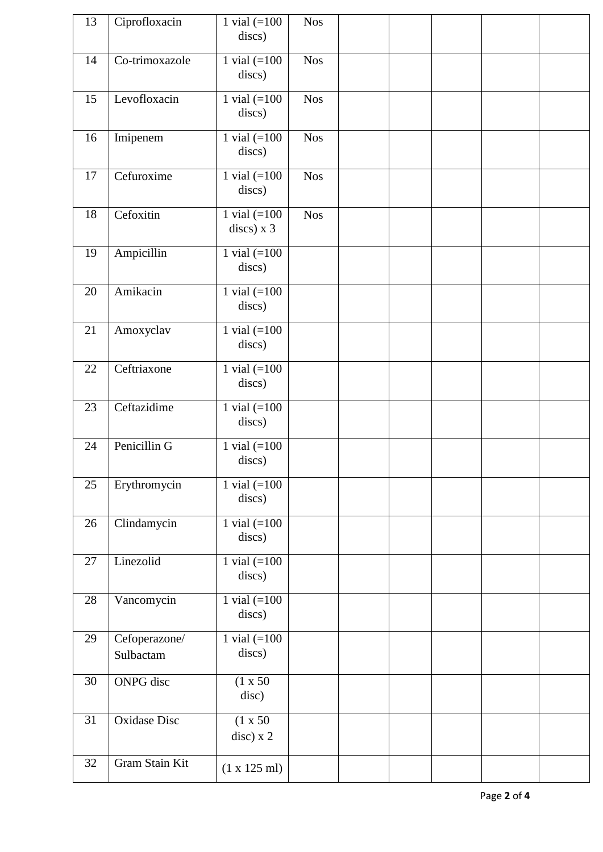| 13 | Ciprofloxacin              | 1 vial $(=100$<br>discs)            | <b>Nos</b> |  |  |  |
|----|----------------------------|-------------------------------------|------------|--|--|--|
| 14 | Co-trimoxazole             | 1 vial $(=100$<br>discs)            | <b>Nos</b> |  |  |  |
| 15 | Levofloxacin               | 1 vial $(=100$<br>discs)            | <b>Nos</b> |  |  |  |
| 16 | Imipenem                   | 1 vial $(=100$<br>discs)            | <b>Nos</b> |  |  |  |
| 17 | Cefuroxime                 | 1 vial $(=100$<br>discs)            | <b>Nos</b> |  |  |  |
| 18 | Cefoxitin                  | 1 vial $(=100$<br>$discs)$ x 3      | <b>Nos</b> |  |  |  |
| 19 | Ampicillin                 | 1 vial $(=100$<br>discs)            |            |  |  |  |
| 20 | Amikacin                   | 1 vial $(=100$<br>discs)            |            |  |  |  |
| 21 | Amoxyclav                  | 1 vial $(=100$<br>discs)            |            |  |  |  |
| 22 | Ceftriaxone                | 1 vial $(=100$<br>discs)            |            |  |  |  |
| 23 | Ceftazidime                | 1 vial $(=100$<br>discs)            |            |  |  |  |
| 24 | Penicillin G               | 1 vial $(=100$<br>discs)            |            |  |  |  |
| 25 | Erythromycin               | 1 vial $(=100$<br>discs)            |            |  |  |  |
| 26 | Clindamycin                | 1 vial $(=100$<br>discs)            |            |  |  |  |
| 27 | Linezolid                  | 1 vial $(=100$<br>discs)            |            |  |  |  |
| 28 | Vancomycin                 | 1 vial $(=100$<br>discs)            |            |  |  |  |
| 29 | Cefoperazone/<br>Sulbactam | 1 vial $(=\overline{100}$<br>discs) |            |  |  |  |
| 30 | <b>ONPG</b> disc           | (1 x 50)<br>disc)                   |            |  |  |  |
| 31 | <b>Oxidase Disc</b>        | (1 x 50)<br>$disc)$ x 2             |            |  |  |  |
| 32 | Gram Stain Kit             | $(1 \times 125 \text{ ml})$         |            |  |  |  |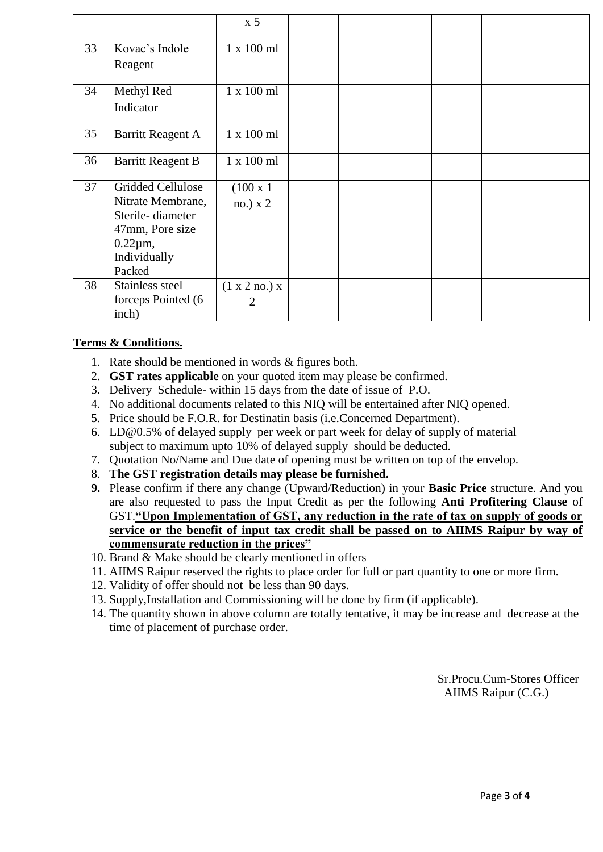|    |                          | x <sub>5</sub>    |  |  |  |
|----|--------------------------|-------------------|--|--|--|
| 33 | Kovac's Indole           | $1 \times 100$ ml |  |  |  |
|    | Reagent                  |                   |  |  |  |
| 34 | Methyl Red               | 1 x 100 ml        |  |  |  |
|    | Indicator                |                   |  |  |  |
|    |                          |                   |  |  |  |
| 35 | <b>Barritt Reagent A</b> | $1 \times 100$ ml |  |  |  |
| 36 | <b>Barritt Reagent B</b> | 1 x 100 ml        |  |  |  |
| 37 | Gridded Cellulose        | $(100 \times 1)$  |  |  |  |
|    | Nitrate Membrane,        | $no.)$ x 2        |  |  |  |
|    | Sterile-diameter         |                   |  |  |  |
|    | 47mm, Pore size          |                   |  |  |  |
|    | $0.22 \mu m$ ,           |                   |  |  |  |
|    | Individually             |                   |  |  |  |
|    | Packed                   |                   |  |  |  |
| 38 | Stainless steel          | (1 x 2 no.) x     |  |  |  |
|    | forceps Pointed (6       | 2                 |  |  |  |
|    | inch)                    |                   |  |  |  |

## **Terms & Conditions.**

- 1. Rate should be mentioned in words & figures both.
- 2. **GST rates applicable** on your quoted item may please be confirmed.
- 3. Delivery Schedule- within 15 days from the date of issue of P.O.
- 4. No additional documents related to this NIQ will be entertained after NIQ opened.
- 5. Price should be F.O.R. for Destinatin basis (i.e.Concerned Department).
- 6. [LD@0.5%](mailto:LD@0.5%25) of delayed supply per week or part week for delay of supply of material subject to maximum upto 10% of delayed supply should be deducted.
- 7. Quotation No/Name and Due date of opening must be written on top of the envelop.
- 8. **The GST registration details may please be furnished.**
- **9.** Please confirm if there any change (Upward/Reduction) in your **Basic Price** structure. And you are also requested to pass the Input Credit as per the following **Anti Profitering Clause** of GST.**"Upon Implementation of GST, any reduction in the rate of tax on supply of goods or service or the benefit of input tax credit shall be passed on to AIIMS Raipur by way of commensurate reduction in the prices"**
- 10. Brand & Make should be clearly mentioned in offers
- 11. AIIMS Raipur reserved the rights to place order for full or part quantity to one or more firm.
- 12. Validity of offer should not be less than 90 days.
- 13. Supply,Installation and Commissioning will be done by firm (if applicable).
- 14. The quantity shown in above column are totally tentative, it may be increase and decrease at the time of placement of purchase order.

 Sr.Procu.Cum-Stores Officer AIIMS Raipur (C.G.)